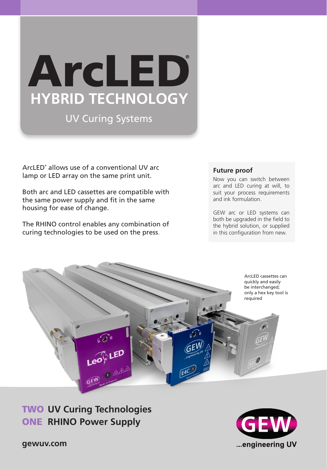# ArcLED **®HYBRID TECHNOLOGY**

## UV Curing Systems

ArcLED® allows use of a conventional UV arc lamp or LED array on the same print unit.

Both arc and LED cassettes are compatible with the same power supply and fit in the same housing for ease of change.

The RHINO control enables any combination of curing technologies to be used on the press.

#### **Future proof**

Now you can switch between arc and LED curing at will, to suit your process requirements and ink formulation.

GEW arc or LED systems can both be upgraded in the field to the hybrid solution, or supplied in this configuration from new.



ONE RHINO Power Supply TWO **UV Curing Technologies**



**gewuv.com**